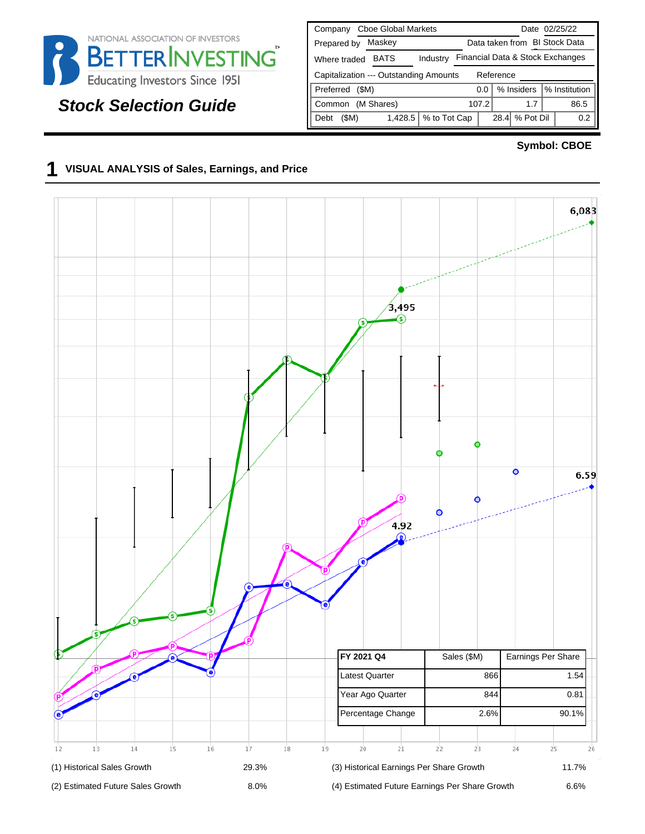

# **Stock Selection Guide**

| <b>Cboe Global Markets</b><br>Company               | Date 02/25/22                      |  |  |  |  |  |  |  |  |  |  |  |
|-----------------------------------------------------|------------------------------------|--|--|--|--|--|--|--|--|--|--|--|
| Maskey<br>Prepared by                               | Data taken from BI Stock Data      |  |  |  |  |  |  |  |  |  |  |  |
| <b>BATS</b><br>Industry<br>Where traded             | Financial Data & Stock Exchanges   |  |  |  |  |  |  |  |  |  |  |  |
| Capitalization --- Outstanding Amounts<br>Reference |                                    |  |  |  |  |  |  |  |  |  |  |  |
| Preferred<br>(SM)                                   | % Institution<br>% Insiders<br>0.0 |  |  |  |  |  |  |  |  |  |  |  |
| (M Shares)<br>Common                                | 107.2<br>86.5<br>1.7               |  |  |  |  |  |  |  |  |  |  |  |
| % to Tot Cap<br>1,428.5<br>(\$M)<br>Debt            | % Pot Dil<br>28.4<br>0.2           |  |  |  |  |  |  |  |  |  |  |  |

### **Symbol: CBOE**

### **1 VISUAL ANALYSIS of Sales, Earnings, and Price**

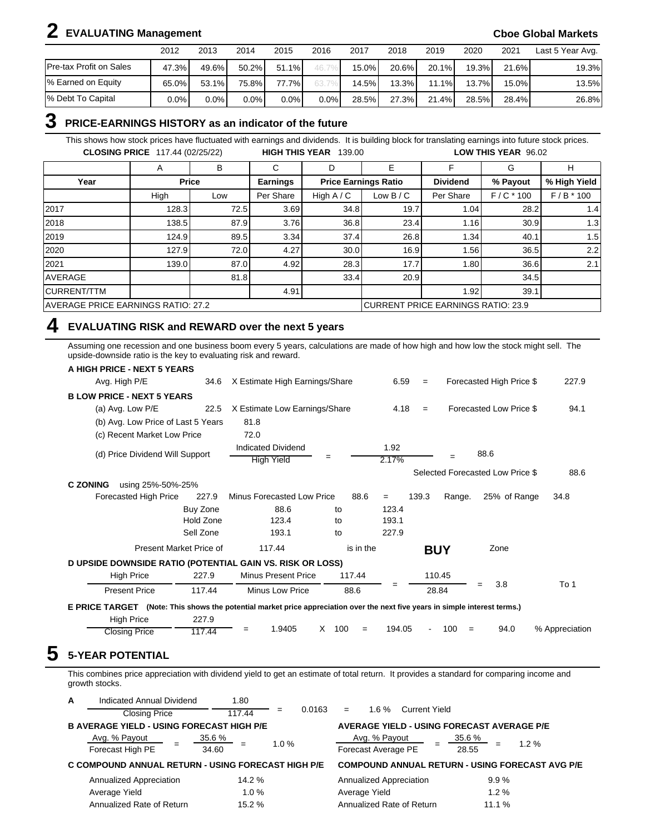# **2 EVALUATING Management Cboe Global Markets**

|                                | 2012    | 2013  | 2014     | 2015    | 2016    | 2017     | 2018     | 2019  | 2020   | 2021     | Last 5 Year Avg. |
|--------------------------------|---------|-------|----------|---------|---------|----------|----------|-------|--------|----------|------------------|
| <b>Pre-tax Profit on Sales</b> | 47.3%   | 49.6% | $50.2\%$ | 51.1%   |         | $15.0\%$ | $20.6\%$ | 20.1% | 19.3%  | 21.6%    | 19.3%            |
| % Earned on Equity             | 65.0%   | 53.1% | 75.8%    | 77.7%   |         | 14.5%    | $13.3\%$ | 11.1% | 13.7%1 | $15.0\%$ | 13.5%            |
| 1% Debt To Capital             | $0.0\%$ | 0.0%  | $0.0\%$  | $0.0\%$ | $0.0\%$ | 28.5%    | 27.3%    | 21.4% | 28.5%  | 28.4%    | 26.8%            |

## **3 PRICE-EARNINGS HISTORY as an indicator of the future**

This shows how stock prices have fluctuated with earnings and dividends. It is building block for translating earnings into future stock prices. **CLOSING PRICE** 117.44 (02/25/22) **HIGH THIS YEAR** 139.00 **LOW THIS YEAR** 96.02

|                                    | A     | B            | С                                  | D            | Е                           |                 | G           | н            |  |
|------------------------------------|-------|--------------|------------------------------------|--------------|-----------------------------|-----------------|-------------|--------------|--|
| Year                               |       | <b>Price</b> | <b>Earnings</b>                    |              | <b>Price Earnings Ratio</b> | <b>Dividend</b> | % Payout    | % High Yield |  |
|                                    | High  | Low          | Per Share                          | High $A / C$ | Low $B/C$                   | Per Share       | $F/C * 100$ | $F/B * 100$  |  |
| 2017                               | 128.3 | 72.5         | 3.69                               | 34.8         | 19.7                        | 1.04            | 28.2        | 1.4          |  |
| 2018                               | 138.5 | 87.9         | 3.76                               | 36.8         | 23.4                        | 1.16            | 30.9        | 1.3          |  |
| 2019                               | 124.9 | 89.5         | 3.34                               | 37.4         | 26.8                        | 1.34            | 40.1        | 1.5          |  |
| 2020                               | 127.9 | 72.0         | 4.27                               | 30.0         | 16.9                        | 1.56            | 36.5        | 2.2          |  |
| 2021                               | 139.0 | 87.0         | 4.92                               | 28.3         | 17.7                        | 1.80            | 36.6        | 2.1          |  |
| AVERAGE                            |       | 81.8         |                                    | 33.4         | 20.9                        |                 | 34.5        |              |  |
| <b>CURRENT/TTM</b>                 |       |              | 4.91                               |              |                             | 1.92            | 39.1        |              |  |
| AVERAGE PRICE EARNINGS RATIO: 27.2 |       |              | CURRENT PRICE EARNINGS RATIO: 23.9 |              |                             |                 |             |              |  |

### **4 EVALUATING RISK and REWARD over the next 5 years**

Assuming one recession and one business boom every 5 years, calculations are made of how high and how low the stock might sell. The upside-downside ratio is the key to evaluating risk and reward.

| A HIGH PRICE - NEXT 5 YEARS                                                                                                  |                         |                                         |          |           |               |       |            |                                  |                |
|------------------------------------------------------------------------------------------------------------------------------|-------------------------|-----------------------------------------|----------|-----------|---------------|-------|------------|----------------------------------|----------------|
| Avg. High P/E                                                                                                                | 34.6                    | X Estimate High Earnings/Share          |          |           | 6.59          | $=$   |            | Forecasted High Price \$         | 227.9          |
| <b>BLOW PRICE - NEXT 5 YEARS</b>                                                                                             |                         |                                         |          |           |               |       |            |                                  |                |
| (a) Avg. Low P/E                                                                                                             | 22.5                    | X Estimate Low Earnings/Share           |          |           | 4.18          | $=$   |            | Forecasted Low Price \$          | 94.1           |
| (b) Avg. Low Price of Last 5 Years                                                                                           |                         | 81.8                                    |          |           |               |       |            |                                  |                |
| (c) Recent Market Low Price                                                                                                  |                         | 72.0                                    |          |           |               |       |            |                                  |                |
| (d) Price Dividend Will Support                                                                                              |                         | Indicated Dividend<br><b>High Yield</b> | $=$      |           | 1.92<br>2.17% |       |            | 88.6                             |                |
|                                                                                                                              |                         |                                         |          |           |               |       |            | Selected Forecasted Low Price \$ | 88.6           |
| <b>C ZONING</b><br>using 25%-50%-25%                                                                                         |                         |                                         |          |           |               |       |            |                                  |                |
| Forecasted High Price                                                                                                        | 227.9                   | <b>Minus Forecasted Low Price</b>       |          | 88.6      | $=$           | 139.3 | Range.     | 25% of Range                     | 34.8           |
|                                                                                                                              | Buy Zone                | 88.6                                    | to       |           | 123.4         |       |            |                                  |                |
|                                                                                                                              | Hold Zone               | 123.4                                   | to       |           | 193.1         |       |            |                                  |                |
|                                                                                                                              | Sell Zone               | 193.1                                   | to       |           | 227.9         |       |            |                                  |                |
|                                                                                                                              | Present Market Price of | 117.44                                  |          | is in the |               |       | <b>BUY</b> | Zone                             |                |
| D UPSIDE DOWNSIDE RATIO (POTENTIAL GAIN VS. RISK OR LOSS)                                                                    |                         |                                         |          |           |               |       |            |                                  |                |
| <b>High Price</b>                                                                                                            | 227.9                   | <b>Minus Present Price</b>              | 117.44   |           |               |       | 110.45     |                                  |                |
| <b>Present Price</b>                                                                                                         | 117.44                  | Minus Low Price                         | 88.6     |           | =             |       | 28.84      | 3.8<br>$=$                       | To 1           |
| E PRICE TARGET (Note: This shows the potential market price appreciation over the next five years in simple interest terms.) |                         |                                         |          |           |               |       |            |                                  |                |
| <b>High Price</b>                                                                                                            | 227.9                   |                                         |          |           |               |       |            |                                  |                |
| <b>Closing Price</b>                                                                                                         | 117.44                  | 1.9405<br>$=$                           | X<br>100 | $=$       | 194.05        |       | 100<br>$=$ | 94.0                             | % Appreciation |

This combines price appreciation with dividend yield to get an estimate of total return. It provides a standard for comparing income and growth stocks.

| A | Indicated Annual Dividend                          | 1.80               |               |                                                   |                                                        |
|---|----------------------------------------------------|--------------------|---------------|---------------------------------------------------|--------------------------------------------------------|
|   | <b>Closing Price</b>                               | 117.44             | 0.0163<br>$=$ | $1.6 \%$<br>Current Yield<br>$=$                  |                                                        |
|   | <b>B AVERAGE YIELD - USING FORECAST HIGH P/E</b>   |                    |               | <b>AVERAGE YIELD - USING FORECAST AVERAGE P/E</b> |                                                        |
|   | Avg. % Payout<br>Forecast High PE                  | $35.6 \%$<br>34.60 | $1.0 \%$      | Avg. % Payout<br>Forecast Average PE              | $35.6\%$<br>$1.2 \%$<br>$=$<br>28.55                   |
|   | C COMPOUND ANNUAL RETURN - USING FORECAST HIGH P/E |                    |               |                                                   | <b>COMPOUND ANNUAL RETURN - USING FORECAST AVG P/E</b> |
|   | Annualized Appreciation                            | 14.2 %             |               | Annualized Appreciation                           | 9.9%                                                   |
|   | Average Yield                                      | 1.0%               |               | Average Yield                                     | 1.2%                                                   |
|   | Annualized Rate of Return                          | 15.2 %             |               | Annualized Rate of Return                         | 11.1 %                                                 |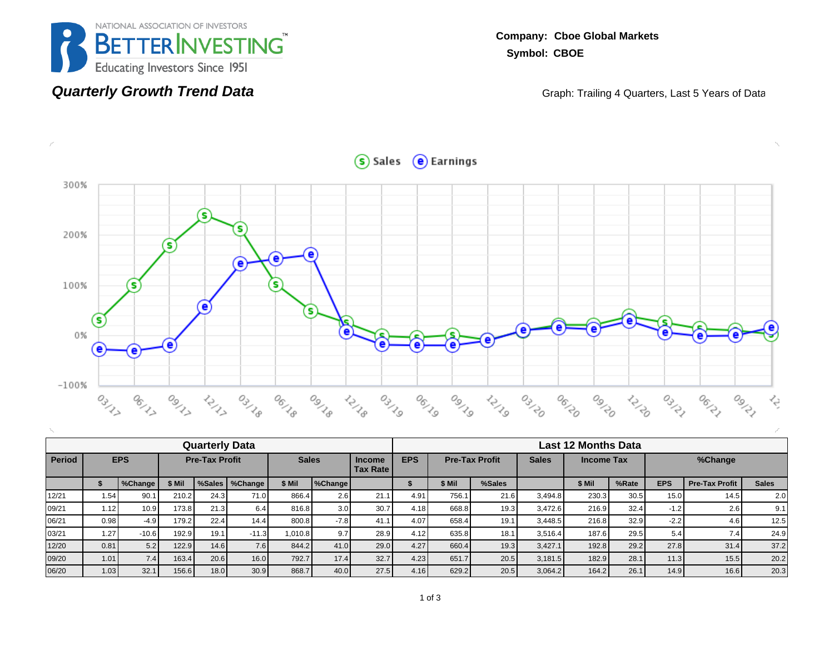

**Quarterly Growth Trend Data**

**Company: Cboe Global Markets Symbol: CBOE**

Graph: Trailing 4 Quarters, Last 5 Years of Data

 $S$  Sales  $\Theta$  Earnings



|        | <b>Quarterly Data</b> |         |        |                       |                  |              |                  |                                  |               |                       | <b>Last 12 Months Data</b> |              |            |       |            |                       |              |  |  |  |  |
|--------|-----------------------|---------|--------|-----------------------|------------------|--------------|------------------|----------------------------------|---------------|-----------------------|----------------------------|--------------|------------|-------|------------|-----------------------|--------------|--|--|--|--|
| Period | <b>EPS</b>            |         |        | <b>Pre-Tax Profit</b> |                  | <b>Sales</b> |                  | <b>Income</b><br><b>Tax Rate</b> | <b>EPS</b>    | <b>Pre-Tax Profit</b> |                            | <b>Sales</b> | Income Tax |       |            | %Change               |              |  |  |  |  |
|        |                       | %Change | \$ Mil |                       | %Sales   %Change | \$ Mil       | %Change          |                                  |               | \$ Mil                | %Sales                     |              | \$ Mil     | %Rate | <b>EPS</b> | <b>Pre-Tax Profit</b> | <b>Sales</b> |  |  |  |  |
| 12/21  | 1.54                  | 90.1    | 210.2  | 24.3                  | 71.0             | 866.4        | 2.6              | 21.1                             | $4.9^{\circ}$ | 756.1                 | 21.6                       | 3,494.8      | 230.3      | 30.5  | 15.0       | 14.5                  | 2.0          |  |  |  |  |
| 09/21  | 1.12                  | 10.9    | 173.8  | 21.3                  | 6.4              | 816.8        | 3.0 <sub>1</sub> | 30.7                             | 4.18          | 668.8                 | 19.3                       | 3,472.6      | 216.9      | 32.4  | $-1.2$     | 2.6                   | 9.1          |  |  |  |  |
| 06/21  | 0.98                  | $-4.9$  | 179.2  | 22.4                  | 14.4             | 800.8        | $-7.8$           | 41.1                             | 4.07          | 658.4                 | 19.1                       | 3.448.5      | 216.8      | 32.9  | $-2.2$     | 4.6                   | 12.5         |  |  |  |  |
| 03/21  | 1.27                  | $-10.6$ | 192.9  | 19.1                  | $-11.3$          | 1.010.8      | 9.7 <sub>1</sub> | 28.9                             | 4.12          | 635.8                 | 18.1                       | 3,516.4      | 187.6      | 29.5  | 5.4        | 7.4                   | 24.9         |  |  |  |  |
| 12/20  | 0.81                  | 5.2     | 122.9  | 14.6                  | 7.6              | 844.2        | 41.0             | 29.0                             | 4.27          | 660.4                 | 19.3                       | 3,427.1      | 192.8      | 29.2  | 27.8       | 31.4                  | 37.2         |  |  |  |  |
| 09/20  | 1.01                  | 7.4     | 163.4  | 20.6                  | 16.0             | 792.7        | 17.4             | 32.7                             | 4.23          | 651.7                 | 20.5                       | 3,181.5      | 182.9      | 28.1  | 11.3       | 15.5                  | 20.2         |  |  |  |  |
| 06/20  | 1.03                  | 32.1    | 156.6  | 18.0                  | 30.9             | 868.7        | 40.0             | 27.5                             | 4.16          | 629.2                 | 20.5                       | 3.064.2      | 164.2      | 26.1  | 14.9       | 16.6                  | 20.3         |  |  |  |  |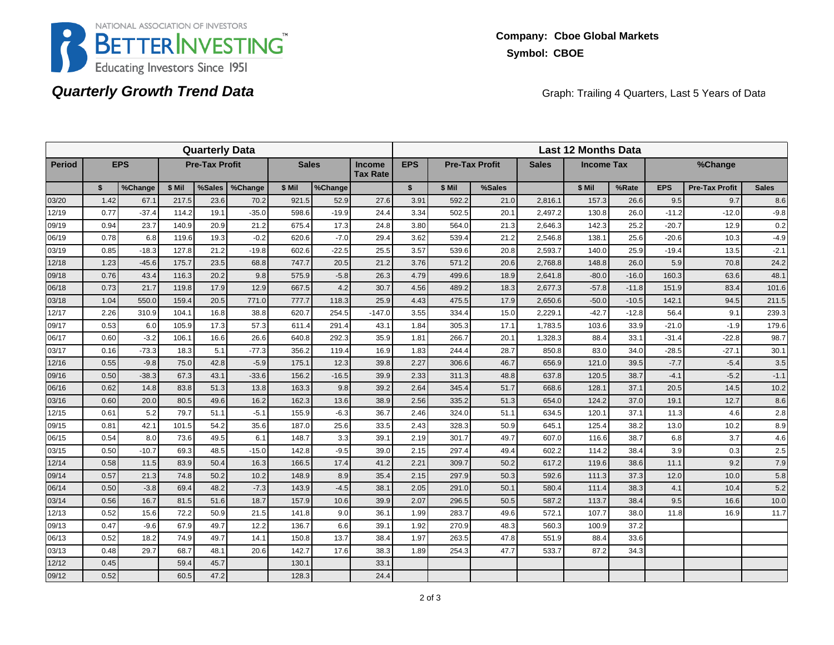

# **Quarterly Growth Trend Data**

Graph: Trailing 4 Quarters, Last 5 Years of Data

|               |      |            |        | <b>Quarterly Data</b> |         |                                                  |         |            | <b>Last 12 Months Data</b> |                       |              |                   |         |         |            |                       |              |  |  |
|---------------|------|------------|--------|-----------------------|---------|--------------------------------------------------|---------|------------|----------------------------|-----------------------|--------------|-------------------|---------|---------|------------|-----------------------|--------------|--|--|
| <b>Period</b> |      | <b>EPS</b> |        | <b>Pre-Tax Profit</b> |         | <b>Sales</b><br><b>Income</b><br><b>Tax Rate</b> |         | <b>EPS</b> |                            | <b>Pre-Tax Profit</b> | <b>Sales</b> | <b>Income Tax</b> |         |         | %Change    |                       |              |  |  |
|               | \$   | %Change    | \$ Mil | %Sales                | %Change | \$ Mil                                           | %Change |            | $\mathbf{s}$               | \$ Mil                | %Sales       |                   | \$ Mil  | %Rate   | <b>EPS</b> | <b>Pre-Tax Profit</b> | <b>Sales</b> |  |  |
| 03/20         | 1.42 | 67.1       | 217.5  | 23.6                  | 70.2    | 921.5                                            | 52.9    | 27.6       | 3.91                       | 592.2                 | 21.0         | 2,816.1           | 157.3   | 26.6    | 9.5        | 9.7                   | 8.6          |  |  |
| 12/19         | 0.77 | $-37.4$    | 114.2  | 19.1                  | $-35.0$ | 598.6                                            | $-19.9$ | 24.4       | 3.34                       | 502.5                 | 20.1         | 2,497.2           | 130.8   | 26.0    | $-11.2$    | $-12.0$               | $-9.8$       |  |  |
| 09/19         | 0.94 | 23.7       | 140.9  | 20.9                  | 21.2    | 675.4                                            | 17.3    | 24.8       | 3.80                       | 564.0                 | 21.3         | 2.646.3           | 142.3   | 25.2    | $-20.7$    | 12.9                  | 0.2          |  |  |
| 06/19         | 0.78 | 6.8        | 119.6  | 19.3                  | $-0.2$  | 620.6                                            | $-7.0$  | 29.4       | 3.62                       | 539.4                 | 21.2         | 2,546.8           | 138.1   | 25.6    | $-20.6$    | 10.3                  | $-4.9$       |  |  |
| 03/19         | 0.85 | $-18.3$    | 127.8  | 21.2                  | $-19.8$ | 602.6                                            | $-22.5$ | 25.5       | 3.57                       | 539.6                 | 20.8         | 2,593.7           | 140.0   | 25.9    | $-19.4$    | 13.5                  | $-2.1$       |  |  |
| 12/18         | 1.23 | $-45.6$    | 175.7  | 23.5                  | 68.8    | 747.7                                            | 20.5    | 21.2       | 3.76                       | 571.2                 | 20.6         | 2,768.8           | 148.8   | 26.0    | 5.9        | 70.8                  | 24.2         |  |  |
| 09/18         | 0.76 | 43.4       | 116.3  | 20.2                  | 9.8     | 575.9                                            | $-5.8$  | 26.3       | 4.79                       | 499.6                 | 18.9         | 2,641.8           | $-80.0$ | $-16.0$ | 160.3      | 63.6                  | 48.1         |  |  |
| 06/18         | 0.73 | 21.7       | 119.8  | 17.9                  | 12.9    | 667.5                                            | 4.2     | 30.7       | 4.56                       | 489.2                 | 18.3         | 2,677.3           | $-57.8$ | $-11.8$ | 151.9      | 83.4                  | 101.6        |  |  |
| 03/18         | 1.04 | 550.0      | 159.4  | 20.5                  | 771.0   | 777.7                                            | 118.3   | 25.9       | 4.43                       | 475.5                 | 17.9         | 2,650.6           | $-50.0$ | $-10.5$ | 142.1      | 94.5                  | 211.5        |  |  |
| 12/17         | 2.26 | 310.9      | 104.1  | 16.8                  | 38.8    | 620.7                                            | 254.5   | $-147.0$   | 3.55                       | 334.4                 | 15.0         | 2,229.1           | $-42.7$ | $-12.8$ | 56.4       | 9.1                   | 239.3        |  |  |
| 09/17         | 0.53 | 6.0        | 105.9  | 17.3                  | 57.3    | 611.4                                            | 291.4   | 43.1       | 1.84                       | 305.3                 | 17.1         | 1,783.5           | 103.6   | 33.9    | $-21.0$    | $-1.9$                | 179.6        |  |  |
| 06/17         | 0.60 | $-3.2$     | 106.1  | 16.6                  | 26.6    | 640.8                                            | 292.3   | 35.9       | 1.81                       | 266.7                 | 20.1         | 1,328.3           | 88.4    | 33.1    | $-31.4$    | $-22.8$               | 98.7         |  |  |
| 03/17         | 0.16 | $-73.3$    | 18.3   | 5.1                   | $-77.3$ | 356.2                                            | 119.4   | 16.9       | 1.83                       | 244.4                 | 28.7         | 850.8             | 83.0    | 34.0    | $-28.5$    | $-27.1$               | 30.1         |  |  |
| 12/16         | 0.55 | $-9.8$     | 75.0   | 42.8                  | $-5.9$  | 175.1                                            | 12.3    | 39.8       | 2.27                       | 306.6                 | 46.7         | 656.9             | 121.0   | 39.5    | $-7.7$     | $-5.4$                | 3.5          |  |  |
| 09/16         | 0.50 | $-38.3$    | 67.3   | 43.1                  | $-33.6$ | 156.2                                            | $-16.5$ | 39.9       | 2.33                       | 311.3                 | 48.8         | 637.8             | 120.5   | 38.7    | $-4.1$     | $-5.2$                | $-1.1$       |  |  |
| 06/16         | 0.62 | 14.8       | 83.8   | 51.3                  | 13.8    | 163.3                                            | 9.8     | 39.2       | 2.64                       | 345.4                 | 51.7         | 668.6             | 128.1   | 37.1    | 20.5       | 14.5                  | 10.2         |  |  |
| 03/16         | 0.60 | 20.0       | 80.5   | 49.6                  | 16.2    | 162.3                                            | 13.6    | 38.9       | 2.56                       | 335.2                 | 51.3         | 654.0             | 124.2   | 37.0    | 19.1       | 12.7                  | 8.6          |  |  |
| 12/15         | 0.61 | 5.2        | 79.7   | 51.1                  | $-5.1$  | 155.9                                            | $-6.3$  | 36.7       | 2.46                       | 324.0                 | 51.1         | 634.5             | 120.1   | 37.1    | 11.3       | 4.6                   | 2.8          |  |  |
| 09/15         | 0.81 | 42.1       | 101.5  | 54.2                  | 35.6    | 187.0                                            | 25.6    | 33.5       | 2.43                       | 328.3                 | 50.9         | 645.1             | 125.4   | 38.2    | 13.0       | 10.2                  | 8.9          |  |  |
| 06/15         | 0.54 | 8.0        | 73.6   | 49.5                  | 6.1     | 148.7                                            | 3.3     | 39.1       | 2.19                       | 301.7                 | 49.7         | 607.0             | 116.6   | 38.7    | 6.8        | 3.7                   | 4.6          |  |  |
| 03/15         | 0.50 | $-10.7$    | 69.3   | 48.5                  | $-15.0$ | 142.8                                            | $-9.5$  | 39.0       | 2.15                       | 297.4                 | 49.4         | 602.2             | 114.2   | 38.4    | 3.9        | 0.3                   | 2.5          |  |  |
| 12/14         | 0.58 | 11.5       | 83.9   | 50.4                  | 16.3    | 166.5                                            | 17.4    | 41.2       | 2.21                       | 309.7                 | 50.2         | 617.2             | 119.6   | 38.6    | 11.1       | 9.2                   | 7.9          |  |  |
| 09/14         | 0.57 | 21.3       | 74.8   | 50.2                  | 10.2    | 148.9                                            | 8.9     | 35.4       | 2.15                       | 297.9                 | 50.3         | 592.6             | 111.3   | 37.3    | 12.0       | 10.0                  | 5.8          |  |  |
| 06/14         | 0.50 | $-3.8$     | 69.4   | 48.2                  | $-7.3$  | 143.9                                            | $-4.5$  | 38.1       | 2.05                       | 291.0                 | 50.1         | 580.4             | 111.4   | 38.3    | 4.1        | 10.4                  | 5.2          |  |  |
| 03/14         | 0.56 | 16.7       | 81.5   | 51.6                  | 18.7    | 157.9                                            | 10.6    | 39.9       | 2.07                       | 296.5                 | 50.5         | 587.2             | 113.7   | 38.4    | 9.5        | 16.6                  | 10.0         |  |  |
| 12/13         | 0.52 | 15.6       | 72.2   | 50.9                  | 21.5    | 141.8                                            | 9.0     | 36.1       | 1.99                       | 283.7                 | 49.6         | 572.1             | 107.7   | 38.0    | 11.8       | 16.9                  | 11.7         |  |  |
| 09/13         | 0.47 | $-9.6$     | 67.9   | 49.7                  | 12.2    | 136.7                                            | 6.6     | 39.1       | 1.92                       | 270.9                 | 48.3         | 560.3             | 100.9   | 37.2    |            |                       |              |  |  |
| 06/13         | 0.52 | 18.2       | 74.9   | 49.7                  | 14.1    | 150.8                                            | 13.7    | 38.4       | 1.97                       | 263.5                 | 47.8         | 551.9             | 88.4    | 33.6    |            |                       |              |  |  |
| 03/13         | 0.48 | 29.7       | 68.7   | 48.1                  | 20.6    | 142.7                                            | 17.6    | 38.3       | 1.89                       | 254.3                 | 47.7         | 533.7             | 87.2    | 34.3    |            |                       |              |  |  |
| 12/12         | 0.45 |            | 59.4   | 45.7                  |         | 130.1                                            |         | 33.1       |                            |                       |              |                   |         |         |            |                       |              |  |  |
| 09/12         | 0.52 |            | 60.5   | 47.2                  |         | 128.3                                            |         | 24.4       |                            |                       |              |                   |         |         |            |                       |              |  |  |